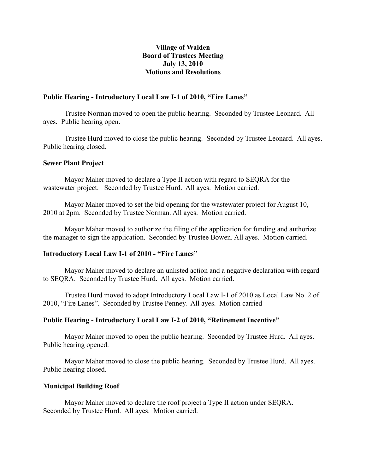# **Village of Walden Board of Trustees Meeting July 13, 2010 Motions and Resolutions**

### **Public Hearing - Introductory Local Law I-1 of 2010, "Fire Lanes"**

Trustee Norman moved to open the public hearing. Seconded by Trustee Leonard. All ayes. Public hearing open.

Trustee Hurd moved to close the public hearing. Seconded by Trustee Leonard. All ayes. Public hearing closed.

### **Sewer Plant Project**

Mayor Maher moved to declare a Type II action with regard to SEQRA for the wastewater project. Seconded by Trustee Hurd. All ayes. Motion carried.

Mayor Maher moved to set the bid opening for the wastewater project for August 10, 2010 at 2pm. Seconded by Trustee Norman. All ayes. Motion carried.

Mayor Maher moved to authorize the filing of the application for funding and authorize the manager to sign the application. Seconded by Trustee Bowen. All ayes. Motion carried.

### **Introductory Local Law I-1 of 2010 - "Fire Lanes"**

Mayor Maher moved to declare an unlisted action and a negative declaration with regard to SEQRA. Seconded by Trustee Hurd. All ayes. Motion carried.

Trustee Hurd moved to adopt Introductory Local Law I-1 of 2010 as Local Law No. 2 of 2010, "Fire Lanes". Seconded by Trustee Penney. All ayes. Motion carried

# **Public Hearing - Introductory Local Law I-2 of 2010, "Retirement Incentive"**

Mayor Maher moved to open the public hearing. Seconded by Trustee Hurd. All ayes. Public hearing opened.

Mayor Maher moved to close the public hearing. Seconded by Trustee Hurd. All ayes. Public hearing closed.

### **Municipal Building Roof**

Mayor Maher moved to declare the roof project a Type II action under SEQRA. Seconded by Trustee Hurd. All ayes. Motion carried.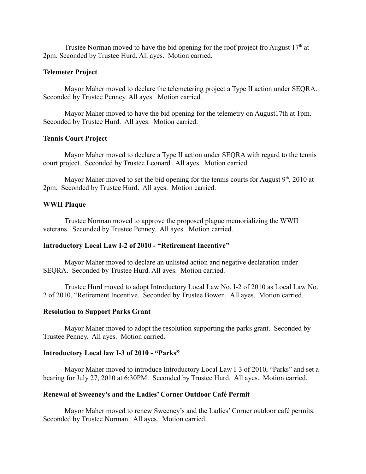Trustee Norman moved to have the bid opening for the roof project fro August  $17<sup>th</sup>$  at 2pm. Seconded by Trustee Hurd. All ayes. Motion carried.

### **Telemeter Project**

Mayor Maher moved to declare the telemetering project a Type II action under SEQRA. Seconded by Trustee Penney. All ayes. Motion carried.

Mayor Maher moved to have the bid opening for the telemetry on August17th at 1pm. Seconded by Trustee Hurd. All ayes. Motion carried.

# **Tennis Court Project**

Mayor Maher moved to declare a Type II action under SEQRA with regard to the tennis court project. Seconded by Trustee Leonard. All ayes. Motion carried.

Mayor Maher moved to set the bid opening for the tennis courts for August  $9<sup>th</sup>$ , 2010 at 2pm. Seconded by Trustee Hurd. All ayes. Motion carried.

## **WWII Plaque**

Trustee Norman moved to approve the proposed plague memorializing the WWII veterans. Seconded by Trustee Penney. All ayes. Motion carried.

### **Introductory Local Law I-2 of 2010 - "Retirement Incentive"**

Mayor Maher moved to declare an unlisted action and negative declaration under SEQRA. Seconded by Trustee Hurd. All ayes. Motion carried.

Trustee Hurd moved to adopt Introductory Local Law No. I-2 of 2010 as Local Law No. 2 of 2010, "Retirement Incentive. Seconded by Trustee Bowen. All ayes. Motion carried.

### **Resolution to Support Parks Grant**

Mayor Maher moved to adopt the resolution supporting the parks grant. Seconded by Trustee Penney. All ayes. Motion carried.

### **Introductory Local law I-3 of 2010 - "Parks"**

Mayor Maher moved to introduce Introductory Local Law I-3 of 2010, "Parks" and set a hearing for July 27, 2010 at 6:30PM. Seconded by Trustee Hurd. All ayes. Motion carried.

### **Renewal of Sweeney's and the Ladies' Corner Outdoor Café Permit**

Mayor Maher moved to renew Sweeney's and the Ladies' Corner outdoor café permits. Seconded by Trustee Norman. All ayes. Motion carried.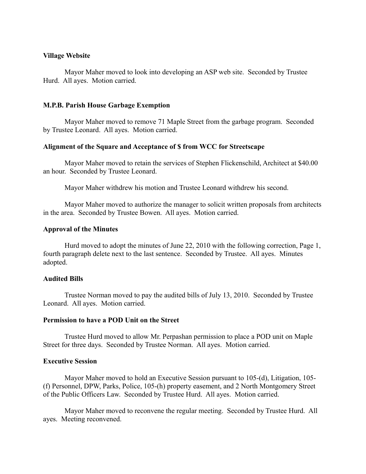### **Village Website**

Mayor Maher moved to look into developing an ASP web site. Seconded by Trustee Hurd. All ayes. Motion carried.

### **M.P.B. Parish House Garbage Exemption**

Mayor Maher moved to remove 71 Maple Street from the garbage program. Seconded by Trustee Leonard. All ayes. Motion carried.

### **Alignment of the Square and Acceptance of \$ from WCC for Streetscape**

Mayor Maher moved to retain the services of Stephen Flickenschild, Architect at \$40.00 an hour. Seconded by Trustee Leonard.

Mayor Maher withdrew his motion and Trustee Leonard withdrew his second.

Mayor Maher moved to authorize the manager to solicit written proposals from architects in the area. Seconded by Trustee Bowen. All ayes. Motion carried.

### **Approval of the Minutes**

Hurd moved to adopt the minutes of June 22, 2010 with the following correction, Page 1, fourth paragraph delete next to the last sentence. Seconded by Trustee. All ayes. Minutes adopted.

### **Audited Bills**

Trustee Norman moved to pay the audited bills of July 13, 2010. Seconded by Trustee Leonard. All ayes. Motion carried.

# **Permission to have a POD Unit on the Street**

Trustee Hurd moved to allow Mr. Perpashan permission to place a POD unit on Maple Street for three days. Seconded by Trustee Norman. All ayes. Motion carried.

### **Executive Session**

Mayor Maher moved to hold an Executive Session pursuant to 105-(d), Litigation, 105- (f) Personnel, DPW, Parks, Police, 105-(h) property easement, and 2 North Montgomery Street of the Public Officers Law. Seconded by Trustee Hurd. All ayes. Motion carried.

Mayor Maher moved to reconvene the regular meeting. Seconded by Trustee Hurd. All ayes. Meeting reconvened.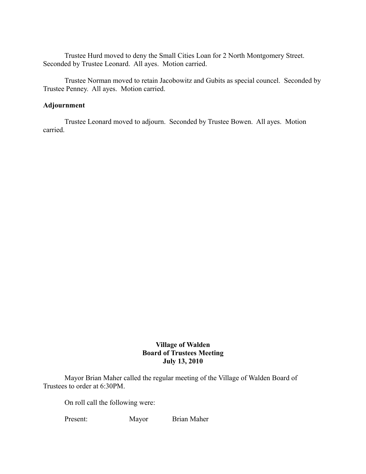Trustee Hurd moved to deny the Small Cities Loan for 2 North Montgomery Street. Seconded by Trustee Leonard. All ayes. Motion carried.

Trustee Norman moved to retain Jacobowitz and Gubits as special councel. Seconded by Trustee Penney. All ayes. Motion carried.

# **Adjournment**

Trustee Leonard moved to adjourn. Seconded by Trustee Bowen. All ayes. Motion carried.

# **Village of Walden Board of Trustees Meeting July 13, 2010**

Mayor Brian Maher called the regular meeting of the Village of Walden Board of Trustees to order at 6:30PM.

On roll call the following were:

Present: Mayor Brian Maher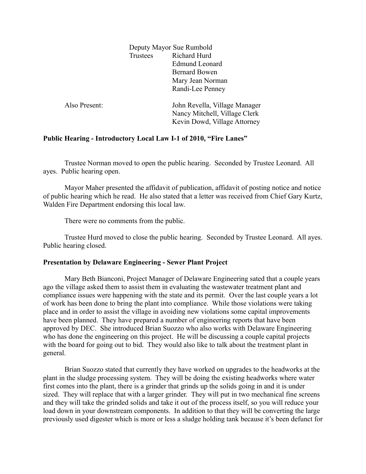|               | Deputy Mayor Sue Rumbold |                               |
|---------------|--------------------------|-------------------------------|
|               | Trustees                 | Richard Hurd                  |
|               |                          | <b>Edmund Leonard</b>         |
|               |                          | <b>Bernard Bowen</b>          |
|               |                          | Mary Jean Norman              |
|               |                          | Randi-Lee Penney              |
| Also Present: |                          | John Revella, Village Manager |
|               |                          | Nancy Mitchell, Village Clerk |
|               |                          | Kevin Dowd, Village Attorney  |
|               |                          |                               |

# **Public Hearing - Introductory Local Law I-1 of 2010, "Fire Lanes"**

Trustee Norman moved to open the public hearing. Seconded by Trustee Leonard. All ayes. Public hearing open.

Mayor Maher presented the affidavit of publication, affidavit of posting notice and notice of public hearing which he read. He also stated that a letter was received from Chief Gary Kurtz, Walden Fire Department endorsing this local law.

There were no comments from the public.

Trustee Hurd moved to close the public hearing. Seconded by Trustee Leonard. All ayes. Public hearing closed.

# **Presentation by Delaware Engineering - Sewer Plant Project**

Mary Beth Bianconi, Project Manager of Delaware Engineering sated that a couple years ago the village asked them to assist them in evaluating the wastewater treatment plant and compliance issues were happening with the state and its permit. Over the last couple years a lot of work has been done to bring the plant into compliance. While those violations were taking place and in order to assist the village in avoiding new violations some capital improvements have been planned. They have prepared a number of engineering reports that have been approved by DEC. She introduced Brian Suozzo who also works with Delaware Engineering who has done the engineering on this project. He will be discussing a couple capital projects with the board for going out to bid. They would also like to talk about the treatment plant in general.

Brian Suozzo stated that currently they have worked on upgrades to the headworks at the plant in the sludge processing system. They will be doing the existing headworks where water first comes into the plant, there is a grinder that grinds up the solids going in and it is under sized. They will replace that with a larger grinder. They will put in two mechanical fine screens and they will take the grinded solids and take it out of the process itself, so you will reduce your load down in your downstream components. In addition to that they will be converting the large previously used digester which is more or less a sludge holding tank because it's been defunct for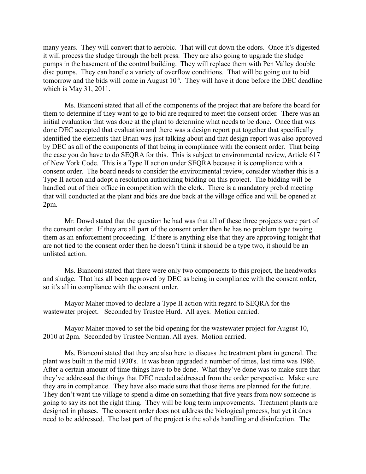many years. They will convert that to aerobic. That will cut down the odors. Once it's digested it will process the sludge through the belt press. They are also going to upgrade the sludge pumps in the basement of the control building. They will replace them with Pen Valley double disc pumps. They can handle a variety of overflow conditions. That will be going out to bid tomorrow and the bids will come in August  $10<sup>th</sup>$ . They will have it done before the DEC deadline which is May 31, 2011.

Ms. Bianconi stated that all of the components of the project that are before the board for them to determine if they want to go to bid are required to meet the consent order. There was an initial evaluation that was done at the plant to determine what needs to be done. Once that was done DEC accepted that evaluation and there was a design report put together that specifically identified the elements that Brian was just talking about and that design report was also approved by DEC as all of the components of that being in compliance with the consent order. That being the case you do have to do SEQRA for this. This is subject to environmental review, Article 617 of New York Code. This is a Type II action under SEQRA because it is compliance with a consent order. The board needs to consider the environmental review, consider whether this is a Type II action and adopt a resolution authorizing bidding on this project. The bidding will be handled out of their office in competition with the clerk. There is a mandatory prebid meeting that will conducted at the plant and bids are due back at the village office and will be opened at 2pm.

Mr. Dowd stated that the question he had was that all of these three projects were part of the consent order. If they are all part of the consent order then he has no problem type twoing them as an enforcement proceeding. If there is anything else that they are approving tonight that are not tied to the consent order then he doesn't think it should be a type two, it should be an unlisted action.

Ms. Bianconi stated that there were only two components to this project, the headworks and sludge. That has all been approved by DEC as being in compliance with the consent order, so it's all in compliance with the consent order.

Mayor Maher moved to declare a Type II action with regard to SEQRA for the wastewater project. Seconded by Trustee Hurd. All ayes. Motion carried.

Mayor Maher moved to set the bid opening for the wastewater project for August 10, 2010 at 2pm. Seconded by Trustee Norman. All ayes. Motion carried.

Ms. Bianconi stated that they are also here to discuss the treatment plant in general. The plant was built in the mid 1930's. It was been upgraded a number of times, last time was 1986. After a certain amount of time things have to be done. What they've done was to make sure that they've addressed the things that DEC needed addressed from the order perspective. Make sure they are in compliance. They have also made sure that those items are planned for the future. They don't want the village to spend a dime on something that five years from now someone is going to say its not the right thing. They will be long term improvements. Treatment plants are designed in phases. The consent order does not address the biological process, but yet it does need to be addressed. The last part of the project is the solids handling and disinfection. The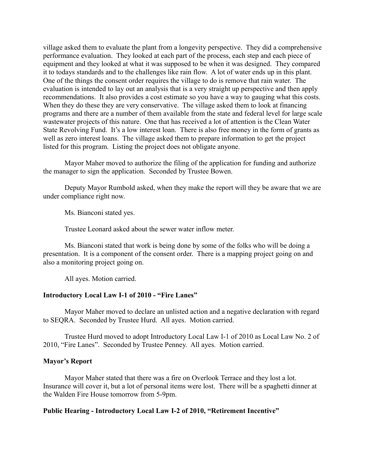village asked them to evaluate the plant from a longevity perspective. They did a comprehensive performance evaluation. They looked at each part of the process, each step and each piece of equipment and they looked at what it was supposed to be when it was designed. They compared it to todays standards and to the challenges like rain flow. A lot of water ends up in this plant. One of the things the consent order requires the village to do is remove that rain water. The evaluation is intended to lay out an analysis that is a very straight up perspective and then apply recommendations. It also provides a cost estimate so you have a way to gauging what this costs. When they do these they are very conservative. The village asked them to look at financing programs and there are a number of them available from the state and federal level for large scale wastewater projects of this nature. One that has received a lot of attention is the Clean Water State Revolving Fund. It's a low interest loan. There is also free money in the form of grants as well as zero interest loans. The village asked them to prepare information to get the project listed for this program. Listing the project does not obligate anyone.

Mayor Maher moved to authorize the filing of the application for funding and authorize the manager to sign the application. Seconded by Trustee Bowen.

Deputy Mayor Rumbold asked, when they make the report will they be aware that we are under compliance right now.

Ms. Bianconi stated yes.

Trustee Leonard asked about the sewer water inflow meter.

Ms. Bianconi stated that work is being done by some of the folks who will be doing a presentation. It is a component of the consent order. There is a mapping project going on and also a monitoring project going on.

All ayes. Motion carried.

# **Introductory Local Law I-1 of 2010 - "Fire Lanes"**

Mayor Maher moved to declare an unlisted action and a negative declaration with regard to SEQRA. Seconded by Trustee Hurd. All ayes. Motion carried.

Trustee Hurd moved to adopt Introductory Local Law I-1 of 2010 as Local Law No. 2 of 2010, "Fire Lanes". Seconded by Trustee Penney. All ayes. Motion carried.

### **Mayor's Report**

Mayor Maher stated that there was a fire on Overlook Terrace and they lost a lot. Insurance will cover it, but a lot of personal items were lost. There will be a spaghetti dinner at the Walden Fire House tomorrow from 5-9pm.

# **Public Hearing - Introductory Local Law I-2 of 2010, "Retirement Incentive"**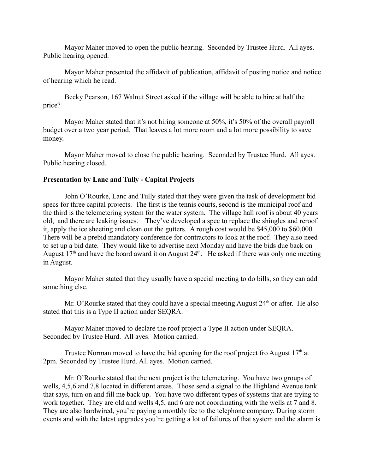Mayor Maher moved to open the public hearing. Seconded by Trustee Hurd. All ayes. Public hearing opened.

Mayor Maher presented the affidavit of publication, affidavit of posting notice and notice of hearing which he read.

Becky Pearson, 167 Walnut Street asked if the village will be able to hire at half the price?

Mayor Maher stated that it's not hiring someone at 50%, it's 50% of the overall payroll budget over a two year period. That leaves a lot more room and a lot more possibility to save money.

Mayor Maher moved to close the public hearing. Seconded by Trustee Hurd. All ayes. Public hearing closed.

# **Presentation by Lanc and Tully - Capital Projects**

John O'Rourke, Lanc and Tully stated that they were given the task of development bid specs for three capital projects. The first is the tennis courts, second is the municipal roof and the third is the telemetering system for the water system. The village hall roof is about 40 years old, and there are leaking issues. They've developed a spec to replace the shingles and reroof it, apply the ice sheeting and clean out the gutters. A rough cost would be \$45,000 to \$60,000. There will be a prebid mandatory conference for contractors to look at the roof. They also need to set up a bid date. They would like to advertise next Monday and have the bids due back on August  $17<sup>th</sup>$  and have the board award it on August  $24<sup>th</sup>$ . He asked if there was only one meeting in August.

Mayor Maher stated that they usually have a special meeting to do bills, so they can add something else.

Mr. O'Rourke stated that they could have a special meeting August  $24<sup>th</sup>$  or after. He also stated that this is a Type II action under SEQRA.

Mayor Maher moved to declare the roof project a Type II action under SEQRA. Seconded by Trustee Hurd. All ayes. Motion carried.

Trustee Norman moved to have the bid opening for the roof project fro August  $17<sup>th</sup>$  at 2pm. Seconded by Trustee Hurd. All ayes. Motion carried.

Mr. O'Rourke stated that the next project is the telemetering. You have two groups of wells, 4,5,6 and 7,8 located in different areas. Those send a signal to the Highland Avenue tank that says, turn on and fill me back up. You have two different types of systems that are trying to work together. They are old and wells 4,5, and 6 are not coordinating with the wells at 7 and 8. They are also hardwired, you're paying a monthly fee to the telephone company. During storm events and with the latest upgrades you're getting a lot of failures of that system and the alarm is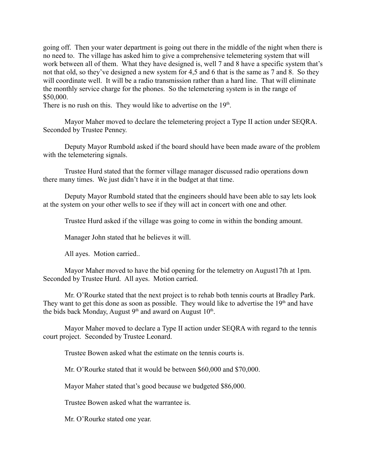going off. Then your water department is going out there in the middle of the night when there is no need to. The village has asked him to give a comprehensive telemetering system that will work between all of them. What they have designed is, well 7 and 8 have a specific system that's not that old, so they've designed a new system for 4,5 and 6 that is the same as 7 and 8. So they will coordinate well. It will be a radio transmission rather than a hard line. That will eliminate the monthly service charge for the phones. So the telemetering system is in the range of \$50,000.

There is no rush on this. They would like to advertise on the  $19<sup>th</sup>$ .

Mayor Maher moved to declare the telemetering project a Type II action under SEQRA. Seconded by Trustee Penney.

Deputy Mayor Rumbold asked if the board should have been made aware of the problem with the telemetering signals.

Trustee Hurd stated that the former village manager discussed radio operations down there many times. We just didn't have it in the budget at that time.

Deputy Mayor Rumbold stated that the engineers should have been able to say lets look at the system on your other wells to see if they will act in concert with one and other.

Trustee Hurd asked if the village was going to come in within the bonding amount.

Manager John stated that he believes it will.

All ayes. Motion carried..

Mayor Maher moved to have the bid opening for the telemetry on August17th at 1pm. Seconded by Trustee Hurd. All ayes. Motion carried.

Mr. O'Rourke stated that the next project is to rehab both tennis courts at Bradley Park. They want to get this done as soon as possible. They would like to advertise the  $19<sup>th</sup>$  and have the bids back Monday, August  $9<sup>th</sup>$  and award on August  $10<sup>th</sup>$ .

Mayor Maher moved to declare a Type II action under SEQRA with regard to the tennis court project. Seconded by Trustee Leonard.

Trustee Bowen asked what the estimate on the tennis courts is.

Mr. O'Rourke stated that it would be between \$60,000 and \$70,000.

Mayor Maher stated that's good because we budgeted \$86,000.

Trustee Bowen asked what the warrantee is.

Mr. O'Rourke stated one year.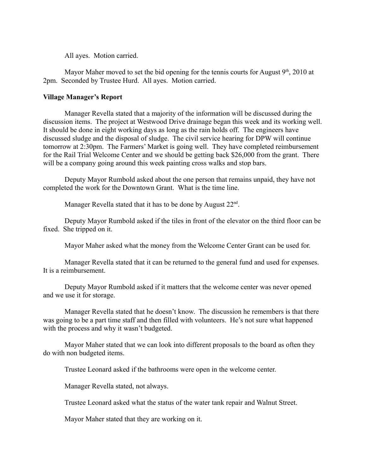All ayes. Motion carried.

Mayor Maher moved to set the bid opening for the tennis courts for August  $9<sup>th</sup>$ , 2010 at 2pm. Seconded by Trustee Hurd. All ayes. Motion carried.

## **Village Manager's Report**

Manager Revella stated that a majority of the information will be discussed during the discussion items. The project at Westwood Drive drainage began this week and its working well. It should be done in eight working days as long as the rain holds off. The engineers have discussed sludge and the disposal of sludge. The civil service hearing for DPW will continue tomorrow at 2:30pm. The Farmers' Market is going well. They have completed reimbursement for the Rail Trial Welcome Center and we should be getting back \$26,000 from the grant. There will be a company going around this week painting cross walks and stop bars.

Deputy Mayor Rumbold asked about the one person that remains unpaid, they have not completed the work for the Downtown Grant. What is the time line.

Manager Revella stated that it has to be done by August 22<sup>nd</sup>.

Deputy Mayor Rumbold asked if the tiles in front of the elevator on the third floor can be fixed. She tripped on it.

Mayor Maher asked what the money from the Welcome Center Grant can be used for.

Manager Revella stated that it can be returned to the general fund and used for expenses. It is a reimbursement.

Deputy Mayor Rumbold asked if it matters that the welcome center was never opened and we use it for storage.

Manager Revella stated that he doesn't know. The discussion he remembers is that there was going to be a part time staff and then filled with volunteers. He's not sure what happened with the process and why it wasn't budgeted.

Mayor Maher stated that we can look into different proposals to the board as often they do with non budgeted items.

Trustee Leonard asked if the bathrooms were open in the welcome center.

Manager Revella stated, not always.

Trustee Leonard asked what the status of the water tank repair and Walnut Street.

Mayor Maher stated that they are working on it.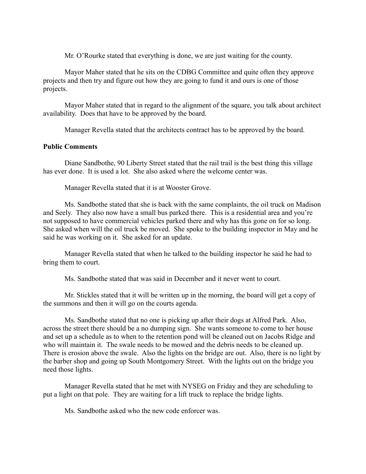Mr. O'Rourke stated that everything is done, we are just waiting for the county.

Mayor Maher stated that he sits on the CDBG Committee and quite often they approve projects and then try and figure out how they are going to fund it and ours is one of those projects.

Mayor Maher stated that in regard to the alignment of the square, you talk about architect availability. Does that have to be approved by the board.

Manager Revella stated that the architects contract has to be approved by the board.

# **Public Comments**

Diane Sandbothe, 90 Liberty Street stated that the rail trail is the best thing this village has ever done. It is used a lot. She also asked where the welcome center was.

Manager Revella stated that it is at Wooster Grove.

Ms. Sandbothe stated that she is back with the same complaints, the oil truck on Madison and Seely. They also now have a small bus parked there. This is a residential area and you're not supposed to have commercial vehicles parked there and why has this gone on for so long. She asked when will the oil truck be moved. She spoke to the building inspector in May and he said he was working on it. She asked for an update.

Manager Revella stated that when he talked to the building inspector he said he had to bring them to court.

Ms. Sandbothe stated that was said in December and it never went to court.

Mr. Stickles stated that it will be written up in the morning, the board will get a copy of the summons and then it will go on the courts agenda.

Ms. Sandbothe stated that no one is picking up after their dogs at Alfred Park. Also, across the street there should be a no dumping sign. She wants someone to come to her house and set up a schedule as to when to the retention pond will be cleaned out on Jacobs Ridge and who will maintain it. The swale needs to be mowed and the debris needs to be cleaned up. There is erosion above the swale. Also the lights on the bridge are out. Also, there is no light by the barber shop and going up South Montgomery Street. With the lights out on the bridge you need those lights.

Manager Revella stated that he met with NYSEG on Friday and they are scheduling to put a light on that pole. They are waiting for a lift truck to replace the bridge lights.

Ms. Sandbothe asked who the new code enforcer was.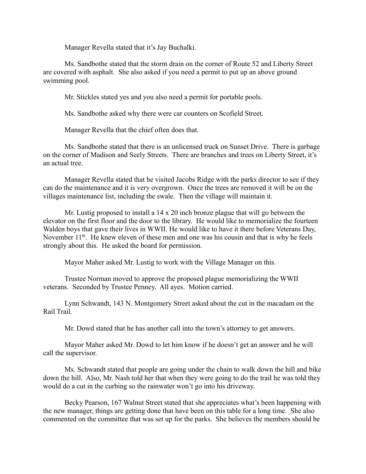Manager Revella stated that it's Jay Buchalki.

Ms. Sandbothe stated that the storm drain on the corner of Route 52 and Liberty Street are covered with asphalt. She also asked if you need a permit to put up an above ground swimming pool.

Mr. Stickles stated yes and you also need a permit for portable pools.

Ms. Sandbothe asked why there were car counters on Scofield Street.

Manager Revella that the chief often does that.

Ms. Sandbothe stated that there is an unlicensed truck on Sunset Drive. There is garbage on the corner of Madison and Seely Streets. There are branches and trees on Liberty Street, it's an actual tree.

Manager Revella stated that he visited Jacobs Ridge with the parks director to see if they can do the maintenance and it is very overgrown. Once the trees are removed it will be on the villages maintenance list, including the swale. Then the village will maintain it.

Mr. Lustig proposed to install a  $14 \times 20$  inch bronze plague that will go between the elevator on the first floor and the door to the library. He would like to memorialize the fourteen Walden boys that gave their lives in WWII. He would like to have it there before Veterans Day, November  $11<sup>th</sup>$ . He knew eleven of these men and one was his cousin and that is why he feels strongly about this. He asked the board for permission.

Mayor Maher asked Mr. Lustig to work with the Village Manager on this.

Trustee Norman moved to approve the proposed plague memorializing the WWII veterans. Seconded by Trustee Penney. All ayes. Motion carried.

Lynn Schwandt, 143 N. Montgomery Street asked about the cut in the macadam on the Rail Trail.

Mr. Dowd stated that he has another call into the town's attorney to get answers.

Mayor Maher asked Mr. Dowd to let him know if he doesn't get an answer and he will call the supervisor.

Ms. Schwandt stated that people are going under the chain to walk down the hill and bike down the hill. Also, Mr. Nash told her that when they were going to do the trail he was told they would do a cut in the curbing so the rainwater won't go into his driveway.

Becky Pearson, 167 Walnut Street stated that she appreciates what's been happening with the new manager, things are getting done that have been on this table for a long time. She also commented on the committee that was set up for the parks. She believes the members should be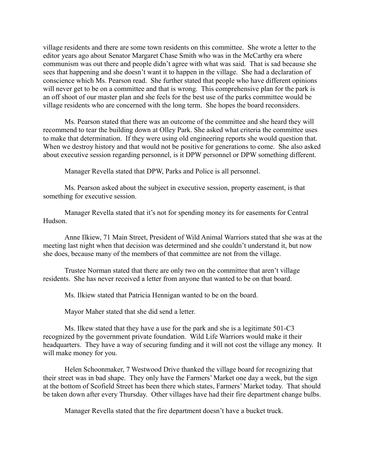village residents and there are some town residents on this committee. She wrote a letter to the editor years ago about Senator Margaret Chase Smith who was in the McCarthy era where communism was out there and people didn't agree with what was said. That is sad because she sees that happening and she doesn't want it to happen in the village. She had a declaration of conscience which Ms. Pearson read. She further stated that people who have different opinions will never get to be on a committee and that is wrong. This comprehensive plan for the park is an off shoot of our master plan and she feels for the best use of the parks committee would be village residents who are concerned with the long term. She hopes the board reconsiders.

Ms. Pearson stated that there was an outcome of the committee and she heard they will recommend to tear the building down at Olley Park. She asked what criteria the committee uses to make that determination. If they were using old engineering reports she would question that. When we destroy history and that would not be positive for generations to come. She also asked about executive session regarding personnel, is it DPW personnel or DPW something different.

Manager Revella stated that DPW, Parks and Police is all personnel.

Ms. Pearson asked about the subject in executive session, property easement, is that something for executive session.

Manager Revella stated that it's not for spending money its for easements for Central Hudson.

Anne Ilkiew, 71 Main Street, President of Wild Animal Warriors stated that she was at the meeting last night when that decision was determined and she couldn't understand it, but now she does, because many of the members of that committee are not from the village.

Trustee Norman stated that there are only two on the committee that aren't village residents. She has never received a letter from anyone that wanted to be on that board.

Ms. Ilkiew stated that Patricia Hennigan wanted to be on the board.

Mayor Maher stated that she did send a letter.

Ms. Ilkew stated that they have a use for the park and she is a legitimate 501-C3 recognized by the government private foundation. Wild Life Warriors would make it their headquarters. They have a way of securing funding and it will not cost the village any money. It will make money for you.

Helen Schoonmaker, 7 Westwood Drive thanked the village board for recognizing that their street was in bad shape. They only have the Farmers' Market one day a week, but the sign at the bottom of Scofield Street has been there which states, Farmers' Market today. That should be taken down after every Thursday. Other villages have had their fire department change bulbs.

Manager Revella stated that the fire department doesn't have a bucket truck.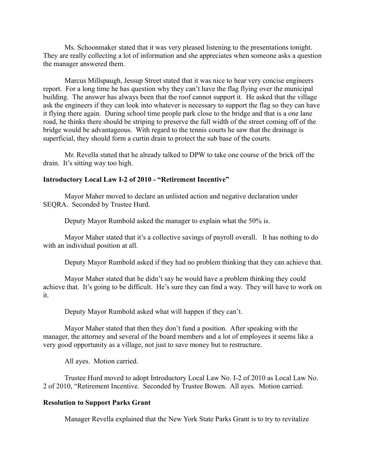Ms. Schoonmaker stated that it was very pleased listening to the presentations tonight. They are really collecting a lot of information and she appreciates when someone asks a question the manager answered them.

Marcus Millspaugh, Jessup Street stated that it was nice to hear very concise engineers report. For a long time he has question why they can't have the flag flying over the municipal building. The answer has always been that the roof cannot support it. He asked that the village ask the engineers if they can look into whatever is necessary to support the flag so they can have it flying there again. During school time people park close to the bridge and that is a one lane road, he thinks there should be striping to preserve the full width of the street coming off of the bridge would be advantageous. With regard to the tennis courts he saw that the drainage is superficial, they should form a curtin drain to protect the sub base of the courts.

Mr. Revella stated that he already talked to DPW to take one course of the brick off the drain. It's sitting way too high.

# **Introductory Local Law I-2 of 2010 - "Retirement Incentive"**

Mayor Maher moved to declare an unlisted action and negative declaration under SEQRA. Seconded by Trustee Hurd.

Deputy Mayor Rumbold asked the manager to explain what the 50% is.

Mayor Maher stated that it's a collective savings of payroll overall. It has nothing to do with an individual position at all.

Deputy Mayor Rumbold asked if they had no problem thinking that they can achieve that.

Mayor Maher stated that he didn't say he would have a problem thinking they could achieve that. It's going to be difficult. He's sure they can find a way. They will have to work on it.

Deputy Mayor Rumbold asked what will happen if they can't.

Mayor Maher stated that then they don't fund a position. After speaking with the manager, the attorney and several of the board members and a lot of employees it seems like a very good opportunity as a village, not just to save money but to restructure.

All ayes. Motion carried.

Trustee Hurd moved to adopt Introductory Local Law No. I-2 of 2010 as Local Law No. 2 of 2010, "Retirement Incentive. Seconded by Trustee Bowen. All ayes. Motion carried.

# **Resolution to Support Parks Grant**

Manager Revella explained that the New York State Parks Grant is to try to revitalize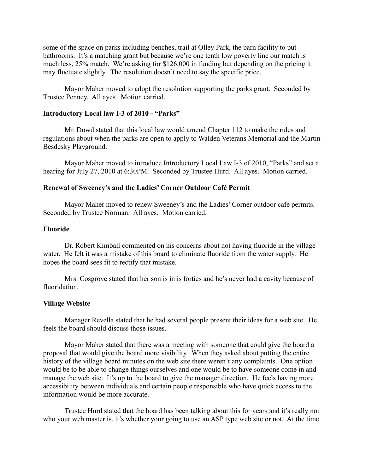some of the space on parks including benches, trail at Olley Park, the barn facility to put bathrooms. It's a matching grant but because we're one tenth low poverty line our match is much less, 25% match. We're asking for \$126,000 in funding but depending on the pricing it may fluctuate slightly. The resolution doesn't need to say the specific price.

Mayor Maher moved to adopt the resolution supporting the parks grant. Seconded by Trustee Penney. All ayes. Motion carried.

### **Introductory Local law I-3 of 2010 - "Parks"**

Mr. Dowd stated that this local law would amend Chapter 112 to make the rules and regulations about when the parks are open to apply to Walden Veterans Memorial and the Martin Besdesky Playground.

Mayor Maher moved to introduce Introductory Local Law I-3 of 2010, "Parks" and set a hearing for July 27, 2010 at 6:30PM. Seconded by Trustee Hurd. All ayes. Motion carried.

### **Renewal of Sweeney's and the Ladies' Corner Outdoor Café Permit**

Mayor Maher moved to renew Sweeney's and the Ladies' Corner outdoor café permits. Seconded by Trustee Norman. All ayes. Motion carried.

#### **Fluoride**

Dr. Robert Kimball commented on his concerns about not having fluoride in the village water. He felt it was a mistake of this board to eliminate fluoride from the water supply. He hopes the board sees fit to rectify that mistake.

Mrs. Cosgrove stated that her son is in is forties and he's never had a cavity because of fluoridation.

#### **Village Website**

Manager Revella stated that he had several people present their ideas for a web site. He feels the board should discuss those issues.

Mayor Maher stated that there was a meeting with someone that could give the board a proposal that would give the board more visibility. When they asked about putting the entire history of the village board minutes on the web site there weren't any complaints. One option would be to be able to change things ourselves and one would be to have someone come in and manage the web site. It's up to the board to give the manager direction. He feels having more accessibility between individuals and certain people responsible who have quick access to the information would be more accurate.

Trustee Hurd stated that the board has been talking about this for years and it's really not who your web master is, it's whether your going to use an ASP type web site or not. At the time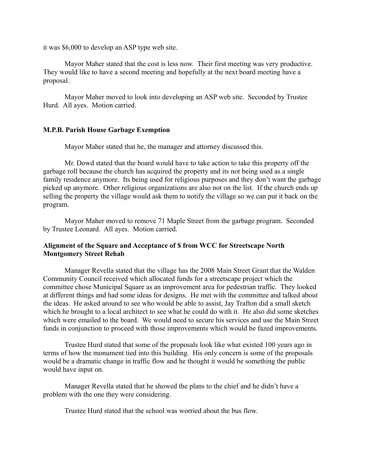it was \$6,000 to develop an ASP type web site.

Mayor Maher stated that the cost is less now. Their first meeting was very productive. They would like to have a second meeting and hopefully at the next board meeting have a proposal.

Mayor Maher moved to look into developing an ASP web site. Seconded by Trustee Hurd. All ayes. Motion carried.

#### **M.P.B. Parish House Garbage Exemption**

Mayor Maher stated that he, the manager and attorney discussed this.

Mr. Dowd stated that the board would have to take action to take this property off the garbage roll because the church has acquired the property and its not being used as a single family residence anymore. Its being used for religious purposes and they don't want the garbage picked up anymore. Other religious organizations are also not on the list. If the church ends up selling the property the village would ask them to notify the village so we can put it back on the program.

Mayor Maher moved to remove 71 Maple Street from the garbage program. Seconded by Trustee Leonard. All ayes. Motion carried.

### **Alignment of the Square and Acceptance of \$ from WCC for Streetscape North Montgomery Street Rehab**

Manager Revella stated that the village has the 2008 Main Street Grant that the Walden Community Council received which allocated funds for a streetscape project which the committee chose Municipal Square as an improvement area for pedestrian traffic. They looked at different things and had some ideas for designs. He met with the committee and talked about the ideas. He asked around to see who would be able to assist, Jay Trafton did a small sketch which he brought to a local architect to see what he could do with it. He also did some sketches which were emailed to the board. We would need to secure his services and use the Main Street funds in conjunction to proceed with those improvements which would be fazed improvements.

Trustee Hurd stated that some of the proposals look like what existed 100 years ago in terms of how the monument tied into this building. His only concern is some of the proposals would be a dramatic change in traffic flow and he thought it would be something the public would have input on.

Manager Revella stated that he showed the plans to the chief and he didn't have a problem with the one they were considering.

Trustee Hurd stated that the school was worried about the bus flow.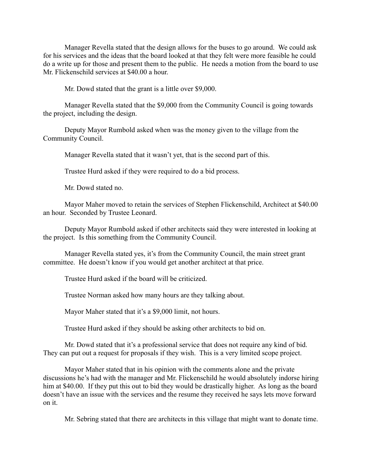Manager Revella stated that the design allows for the buses to go around. We could ask for his services and the ideas that the board looked at that they felt were more feasible he could do a write up for those and present them to the public. He needs a motion from the board to use Mr. Flickenschild services at \$40.00 a hour.

Mr. Dowd stated that the grant is a little over \$9,000.

Manager Revella stated that the \$9,000 from the Community Council is going towards the project, including the design.

Deputy Mayor Rumbold asked when was the money given to the village from the Community Council.

Manager Revella stated that it wasn't yet, that is the second part of this.

Trustee Hurd asked if they were required to do a bid process.

Mr. Dowd stated no.

Mayor Maher moved to retain the services of Stephen Flickenschild, Architect at \$40.00 an hour. Seconded by Trustee Leonard.

Deputy Mayor Rumbold asked if other architects said they were interested in looking at the project. Is this something from the Community Council.

Manager Revella stated yes, it's from the Community Council, the main street grant committee. He doesn't know if you would get another architect at that price.

Trustee Hurd asked if the board will be criticized.

Trustee Norman asked how many hours are they talking about.

Mayor Maher stated that it's a \$9,000 limit, not hours.

Trustee Hurd asked if they should be asking other architects to bid on.

Mr. Dowd stated that it's a professional service that does not require any kind of bid. They can put out a request for proposals if they wish. This is a very limited scope project.

Mayor Maher stated that in his opinion with the comments alone and the private discussions he's had with the manager and Mr. Flickenschild he would absolutely indorse hiring him at \$40.00. If they put this out to bid they would be drastically higher. As long as the board doesn't have an issue with the services and the resume they received he says lets move forward on it.

Mr. Sebring stated that there are architects in this village that might want to donate time.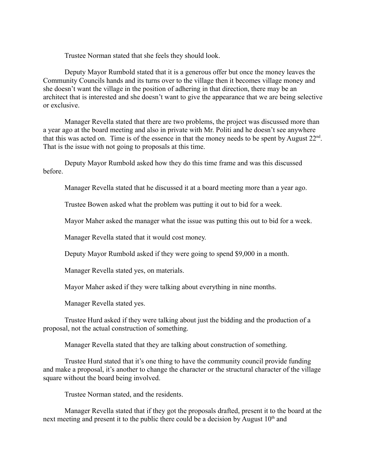Trustee Norman stated that she feels they should look.

Deputy Mayor Rumbold stated that it is a generous offer but once the money leaves the Community Councils hands and its turns over to the village then it becomes village money and she doesn't want the village in the position of adhering in that direction, there may be an architect that is interested and she doesn't want to give the appearance that we are being selective or exclusive.

Manager Revella stated that there are two problems, the project was discussed more than a year ago at the board meeting and also in private with Mr. Politi and he doesn't see anywhere that this was acted on. Time is of the essence in that the money needs to be spent by August  $22<sup>nd</sup>$ . That is the issue with not going to proposals at this time.

Deputy Mayor Rumbold asked how they do this time frame and was this discussed before.

Manager Revella stated that he discussed it at a board meeting more than a year ago.

Trustee Bowen asked what the problem was putting it out to bid for a week.

Mayor Maher asked the manager what the issue was putting this out to bid for a week.

Manager Revella stated that it would cost money.

Deputy Mayor Rumbold asked if they were going to spend \$9,000 in a month.

Manager Revella stated yes, on materials.

Mayor Maher asked if they were talking about everything in nine months.

Manager Revella stated yes.

Trustee Hurd asked if they were talking about just the bidding and the production of a proposal, not the actual construction of something.

Manager Revella stated that they are talking about construction of something.

Trustee Hurd stated that it's one thing to have the community council provide funding and make a proposal, it's another to change the character or the structural character of the village square without the board being involved.

Trustee Norman stated, and the residents.

Manager Revella stated that if they got the proposals drafted, present it to the board at the next meeting and present it to the public there could be a decision by August  $10<sup>th</sup>$  and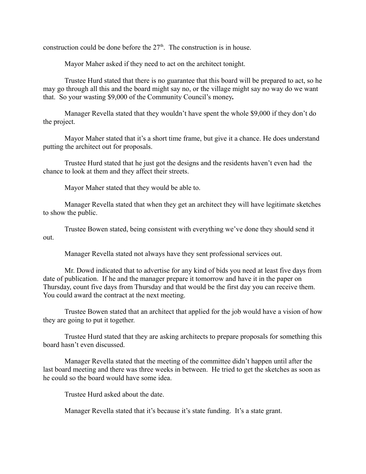construction could be done before the  $27<sup>th</sup>$ . The construction is in house.

Mayor Maher asked if they need to act on the architect tonight.

Trustee Hurd stated that there is no guarantee that this board will be prepared to act, so he may go through all this and the board might say no, or the village might say no way do we want that. So your wasting \$9,000 of the Community Council's money**.**

Manager Revella stated that they wouldn't have spent the whole \$9,000 if they don't do the project.

Mayor Maher stated that it's a short time frame, but give it a chance. He does understand putting the architect out for proposals.

Trustee Hurd stated that he just got the designs and the residents haven't even had the chance to look at them and they affect their streets.

Mayor Maher stated that they would be able to.

Manager Revella stated that when they get an architect they will have legitimate sketches to show the public.

Trustee Bowen stated, being consistent with everything we've done they should send it out.

Manager Revella stated not always have they sent professional services out.

Mr. Dowd indicated that to advertise for any kind of bids you need at least five days from date of publication. If he and the manager prepare it tomorrow and have it in the paper on Thursday, count five days from Thursday and that would be the first day you can receive them. You could award the contract at the next meeting.

Trustee Bowen stated that an architect that applied for the job would have a vision of how they are going to put it together.

Trustee Hurd stated that they are asking architects to prepare proposals for something this board hasn't even discussed.

Manager Revella stated that the meeting of the committee didn't happen until after the last board meeting and there was three weeks in between. He tried to get the sketches as soon as he could so the board would have some idea.

Trustee Hurd asked about the date.

Manager Revella stated that it's because it's state funding. It's a state grant.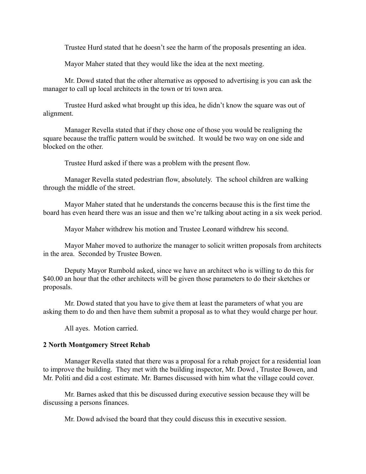Trustee Hurd stated that he doesn't see the harm of the proposals presenting an idea.

Mayor Maher stated that they would like the idea at the next meeting.

Mr. Dowd stated that the other alternative as opposed to advertising is you can ask the manager to call up local architects in the town or tri town area.

Trustee Hurd asked what brought up this idea, he didn't know the square was out of alignment.

Manager Revella stated that if they chose one of those you would be realigning the square because the traffic pattern would be switched. It would be two way on one side and blocked on the other.

Trustee Hurd asked if there was a problem with the present flow.

Manager Revella stated pedestrian flow, absolutely. The school children are walking through the middle of the street.

Mayor Maher stated that he understands the concerns because this is the first time the board has even heard there was an issue and then we're talking about acting in a six week period.

Mayor Maher withdrew his motion and Trustee Leonard withdrew his second.

Mayor Maher moved to authorize the manager to solicit written proposals from architects in the area. Seconded by Trustee Bowen.

Deputy Mayor Rumbold asked, since we have an architect who is willing to do this for \$40.00 an hour that the other architects will be given those parameters to do their sketches or proposals.

Mr. Dowd stated that you have to give them at least the parameters of what you are asking them to do and then have them submit a proposal as to what they would charge per hour.

All ayes. Motion carried.

### **2 North Montgomery Street Rehab**

Manager Revella stated that there was a proposal for a rehab project for a residential loan to improve the building. They met with the building inspector, Mr. Dowd , Trustee Bowen, and Mr. Politi and did a cost estimate. Mr. Barnes discussed with him what the village could cover.

Mr. Barnes asked that this be discussed during executive session because they will be discussing a persons finances.

Mr. Dowd advised the board that they could discuss this in executive session.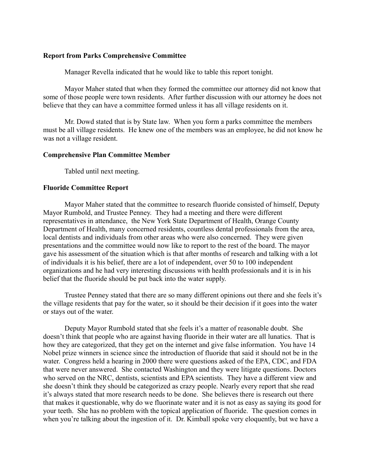### **Report from Parks Comprehensive Committee**

Manager Revella indicated that he would like to table this report tonight.

Mayor Maher stated that when they formed the committee our attorney did not know that some of those people were town residents. After further discussion with our attorney he does not believe that they can have a committee formed unless it has all village residents on it.

Mr. Dowd stated that is by State law. When you form a parks committee the members must be all village residents. He knew one of the members was an employee, he did not know he was not a village resident.

### **Comprehensive Plan Committee Member**

Tabled until next meeting.

### **Fluoride Committee Report**

Mayor Maher stated that the committee to research fluoride consisted of himself, Deputy Mayor Rumbold, and Trustee Penney. They had a meeting and there were different representatives in attendance, the New York State Department of Health, Orange County Department of Health, many concerned residents, countless dental professionals from the area, local dentists and individuals from other areas who were also concerned. They were given presentations and the committee would now like to report to the rest of the board. The mayor gave his assessment of the situation which is that after months of research and talking with a lot of individuals it is his belief, there are a lot of independent, over 50 to 100 independent organizations and he had very interesting discussions with health professionals and it is in his belief that the fluoride should be put back into the water supply.

Trustee Penney stated that there are so many different opinions out there and she feels it's the village residents that pay for the water, so it should be their decision if it goes into the water or stays out of the water.

Deputy Mayor Rumbold stated that she feels it's a matter of reasonable doubt. She doesn't think that people who are against having fluoride in their water are all lunatics. That is how they are categorized, that they get on the internet and give false information. You have 14 Nobel prize winners in science since the introduction of fluoride that said it should not be in the water. Congress held a hearing in 2000 there were questions asked of the EPA, CDC, and FDA that were never answered. She contacted Washington and they were litigate questions. Doctors who served on the NRC, dentists, scientists and EPA scientists. They have a different view and she doesn't think they should be categorized as crazy people. Nearly every report that she read it's always stated that more research needs to be done. She believes there is research out there that makes it questionable, why do we fluorinate water and it is not as easy as saying its good for your teeth. She has no problem with the topical application of fluoride. The question comes in when you're talking about the ingestion of it. Dr. Kimball spoke very eloquently, but we have a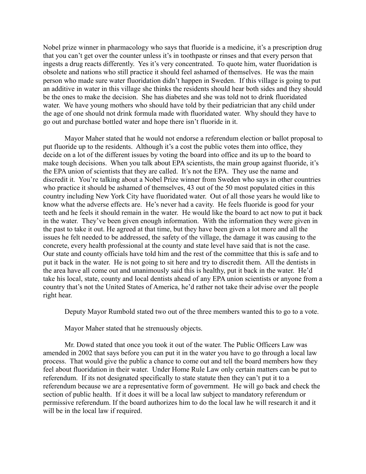Nobel prize winner in pharmacology who says that fluoride is a medicine, it's a prescription drug that you can't get over the counter unless it's in toothpaste or rinses and that every person that ingests a drug reacts differently. Yes it's very concentrated. To quote him, water fluoridation is obsolete and nations who still practice it should feel ashamed of themselves. He was the main person who made sure water fluoridation didn't happen in Sweden. If this village is going to put an additive in water in this village she thinks the residents should hear both sides and they should be the ones to make the decision. She has diabetes and she was told not to drink fluoridated water. We have young mothers who should have told by their pediatrician that any child under the age of one should not drink formula made with fluoridated water. Why should they have to go out and purchase bottled water and hope there isn't fluoride in it.

Mayor Maher stated that he would not endorse a referendum election or ballot proposal to put fluoride up to the residents. Although it's a cost the public votes them into office, they decide on a lot of the different issues by voting the board into office and its up to the board to make tough decisions. When you talk about EPA scientists, the main group against fluoride, it's the EPA union of scientists that they are called. It's not the EPA. They use the name and discredit it. You're talking about a Nobel Prize winner from Sweden who says in other countries who practice it should be ashamed of themselves, 43 out of the 50 most populated cities in this country including New York City have fluoridated water. Out of all those years he would like to know what the adverse effects are. He's never had a cavity. He feels fluoride is good for your teeth and he feels it should remain in the water. He would like the board to act now to put it back in the water. They've been given enough information. With the information they were given in the past to take it out. He agreed at that time, but they have been given a lot more and all the issues he felt needed to be addressed, the safety of the village, the damage it was causing to the concrete, every health professional at the county and state level have said that is not the case. Our state and county officials have told him and the rest of the committee that this is safe and to put it back in the water. He is not going to sit here and try to discredit them. All the dentists in the area have all come out and unanimously said this is healthy, put it back in the water. He'd take his local, state, county and local dentists ahead of any EPA union scientists or anyone from a country that's not the United States of America, he'd rather not take their advise over the people right hear.

Deputy Mayor Rumbold stated two out of the three members wanted this to go to a vote.

Mayor Maher stated that he strenuously objects.

Mr. Dowd stated that once you took it out of the water. The Public Officers Law was amended in 2002 that says before you can put it in the water you have to go through a local law process. That would give the public a chance to come out and tell the board members how they feel about fluoridation in their water. Under Home Rule Law only certain matters can be put to referendum. If its not designated specifically to state statute then they can't put it to a referendum because we are a representative form of government. He will go back and check the section of public health. If it does it will be a local law subject to mandatory referendum or permissive referendum. If the board authorizes him to do the local law he will research it and it will be in the local law if required.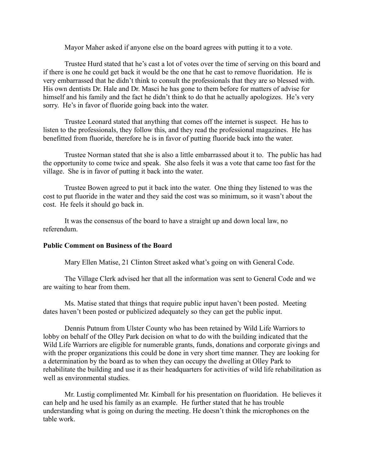Mayor Maher asked if anyone else on the board agrees with putting it to a vote.

Trustee Hurd stated that he's cast a lot of votes over the time of serving on this board and if there is one he could get back it would be the one that he cast to remove fluoridation. He is very embarrassed that he didn't think to consult the professionals that they are so blessed with. His own dentists Dr. Hale and Dr. Masci he has gone to them before for matters of advise for himself and his family and the fact he didn't think to do that he actually apologizes. He's very sorry. He's in favor of fluoride going back into the water.

Trustee Leonard stated that anything that comes off the internet is suspect. He has to listen to the professionals, they follow this, and they read the professional magazines. He has benefitted from fluoride, therefore he is in favor of putting fluoride back into the water.

Trustee Norman stated that she is also a little embarrassed about it to. The public has had the opportunity to come twice and speak. She also feels it was a vote that came too fast for the village. She is in favor of putting it back into the water.

Trustee Bowen agreed to put it back into the water. One thing they listened to was the cost to put fluoride in the water and they said the cost was so minimum, so it wasn't about the cost. He feels it should go back in.

It was the consensus of the board to have a straight up and down local law, no referendum.

### **Public Comment on Business of the Board**

Mary Ellen Matise, 21 Clinton Street asked what's going on with General Code.

The Village Clerk advised her that all the information was sent to General Code and we are waiting to hear from them.

Ms. Matise stated that things that require public input haven't been posted. Meeting dates haven't been posted or publicized adequately so they can get the public input.

Dennis Putnum from Ulster County who has been retained by Wild Life Warriors to lobby on behalf of the Olley Park decision on what to do with the building indicated that the Wild Life Warriors are eligible for numerable grants, funds, donations and corporate givings and with the proper organizations this could be done in very short time manner. They are looking for a determination by the board as to when they can occupy the dwelling at Olley Park to rehabilitate the building and use it as their headquarters for activities of wild life rehabilitation as well as environmental studies.

Mr. Lustig complimented Mr. Kimball for his presentation on fluoridation. He believes it can help and he used his family as an example. He further stated that he has trouble understanding what is going on during the meeting. He doesn't think the microphones on the table work.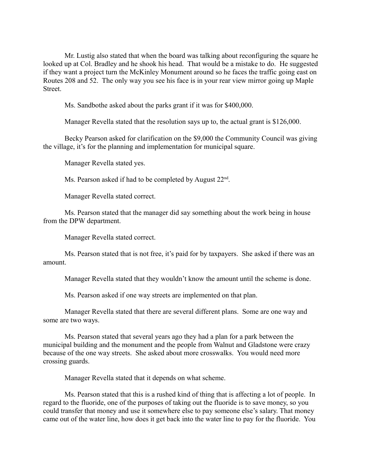Mr. Lustig also stated that when the board was talking about reconfiguring the square he looked up at Col. Bradley and he shook his head. That would be a mistake to do. He suggested if they want a project turn the McKinley Monument around so he faces the traffic going east on Routes 208 and 52. The only way you see his face is in your rear view mirror going up Maple **Street**.

Ms. Sandbothe asked about the parks grant if it was for \$400,000.

Manager Revella stated that the resolution says up to, the actual grant is \$126,000.

Becky Pearson asked for clarification on the \$9,000 the Community Council was giving the village, it's for the planning and implementation for municipal square.

Manager Revella stated yes.

Ms. Pearson asked if had to be completed by August 22<sup>nd</sup>.

Manager Revella stated correct.

Ms. Pearson stated that the manager did say something about the work being in house from the DPW department.

Manager Revella stated correct.

Ms. Pearson stated that is not free, it's paid for by taxpayers. She asked if there was an amount.

Manager Revella stated that they wouldn't know the amount until the scheme is done.

Ms. Pearson asked if one way streets are implemented on that plan.

Manager Revella stated that there are several different plans. Some are one way and some are two ways.

Ms. Pearson stated that several years ago they had a plan for a park between the municipal building and the monument and the people from Walnut and Gladstone were crazy because of the one way streets. She asked about more crosswalks. You would need more crossing guards.

Manager Revella stated that it depends on what scheme.

Ms. Pearson stated that this is a rushed kind of thing that is affecting a lot of people. In regard to the fluoride, one of the purposes of taking out the fluoride is to save money, so you could transfer that money and use it somewhere else to pay someone else's salary. That money came out of the water line, how does it get back into the water line to pay for the fluoride. You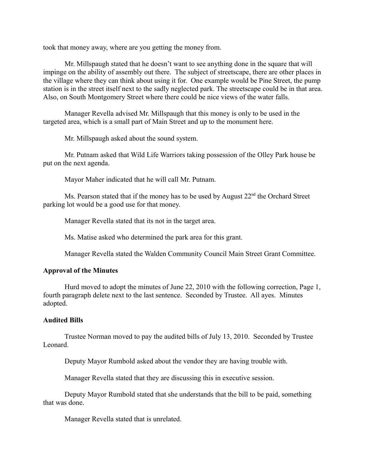took that money away, where are you getting the money from.

Mr. Millspaugh stated that he doesn't want to see anything done in the square that will impinge on the ability of assembly out there. The subject of streetscape, there are other places in the village where they can think about using it for. One example would be Pine Street, the pump station is in the street itself next to the sadly neglected park. The streetscape could be in that area. Also, on South Montgomery Street where there could be nice views of the water falls.

Manager Revella advised Mr. Millspaugh that this money is only to be used in the targeted area, which is a small part of Main Street and up to the monument here.

Mr. Millspaugh asked about the sound system.

Mr. Putnam asked that Wild Life Warriors taking possession of the Olley Park house be put on the next agenda.

Mayor Maher indicated that he will call Mr. Putnam.

Ms. Pearson stated that if the money has to be used by August 22<sup>nd</sup> the Orchard Street parking lot would be a good use for that money.

Manager Revella stated that its not in the target area.

Ms. Matise asked who determined the park area for this grant.

Manager Revella stated the Walden Community Council Main Street Grant Committee.

# **Approval of the Minutes**

Hurd moved to adopt the minutes of June 22, 2010 with the following correction, Page 1, fourth paragraph delete next to the last sentence. Seconded by Trustee. All ayes. Minutes adopted.

# **Audited Bills**

Trustee Norman moved to pay the audited bills of July 13, 2010. Seconded by Trustee Leonard.

Deputy Mayor Rumbold asked about the vendor they are having trouble with.

Manager Revella stated that they are discussing this in executive session.

Deputy Mayor Rumbold stated that she understands that the bill to be paid, something that was done.

Manager Revella stated that is unrelated.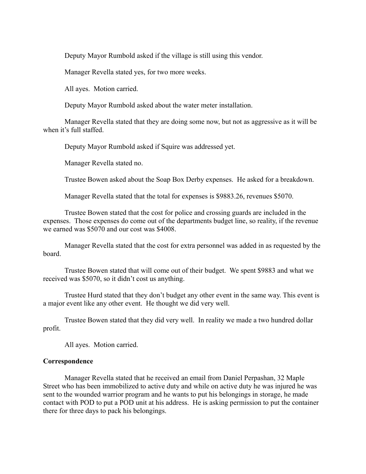Deputy Mayor Rumbold asked if the village is still using this vendor.

Manager Revella stated yes, for two more weeks.

All ayes. Motion carried.

Deputy Mayor Rumbold asked about the water meter installation.

Manager Revella stated that they are doing some now, but not as aggressive as it will be when it's full staffed.

Deputy Mayor Rumbold asked if Squire was addressed yet.

Manager Revella stated no.

Trustee Bowen asked about the Soap Box Derby expenses. He asked for a breakdown.

Manager Revella stated that the total for expenses is \$9883.26, revenues \$5070.

Trustee Bowen stated that the cost for police and crossing guards are included in the expenses. Those expenses do come out of the departments budget line, so reality, if the revenue we earned was \$5070 and our cost was \$4008.

Manager Revella stated that the cost for extra personnel was added in as requested by the board.

Trustee Bowen stated that will come out of their budget. We spent \$9883 and what we received was \$5070, so it didn't cost us anything.

Trustee Hurd stated that they don't budget any other event in the same way. This event is a major event like any other event. He thought we did very well.

Trustee Bowen stated that they did very well. In reality we made a two hundred dollar profit.

All ayes. Motion carried.

### **Correspondence**

Manager Revella stated that he received an email from Daniel Perpashan, 32 Maple Street who has been immobilized to active duty and while on active duty he was injured he was sent to the wounded warrior program and he wants to put his belongings in storage, he made contact with POD to put a POD unit at his address. He is asking permission to put the container there for three days to pack his belongings.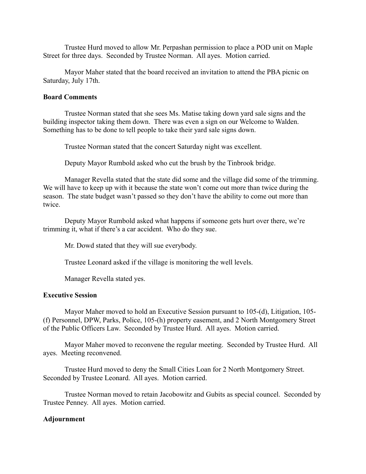Trustee Hurd moved to allow Mr. Perpashan permission to place a POD unit on Maple Street for three days. Seconded by Trustee Norman. All ayes. Motion carried.

Mayor Maher stated that the board received an invitation to attend the PBA picnic on Saturday, July 17th.

#### **Board Comments**

Trustee Norman stated that she sees Ms. Matise taking down yard sale signs and the building inspector taking them down. There was even a sign on our Welcome to Walden. Something has to be done to tell people to take their yard sale signs down.

Trustee Norman stated that the concert Saturday night was excellent.

Deputy Mayor Rumbold asked who cut the brush by the Tinbrook bridge.

Manager Revella stated that the state did some and the village did some of the trimming. We will have to keep up with it because the state won't come out more than twice during the season. The state budget wasn't passed so they don't have the ability to come out more than twice.

Deputy Mayor Rumbold asked what happens if someone gets hurt over there, we're trimming it, what if there's a car accident. Who do they sue.

Mr. Dowd stated that they will sue everybody.

Trustee Leonard asked if the village is monitoring the well levels.

Manager Revella stated yes.

### **Executive Session**

Mayor Maher moved to hold an Executive Session pursuant to 105-(d), Litigation, 105- (f) Personnel, DPW, Parks, Police, 105-(h) property easement, and 2 North Montgomery Street of the Public Officers Law. Seconded by Trustee Hurd. All ayes. Motion carried.

Mayor Maher moved to reconvene the regular meeting. Seconded by Trustee Hurd. All ayes. Meeting reconvened.

Trustee Hurd moved to deny the Small Cities Loan for 2 North Montgomery Street. Seconded by Trustee Leonard. All ayes. Motion carried.

Trustee Norman moved to retain Jacobowitz and Gubits as special councel. Seconded by Trustee Penney. All ayes. Motion carried.

### **Adjournment**